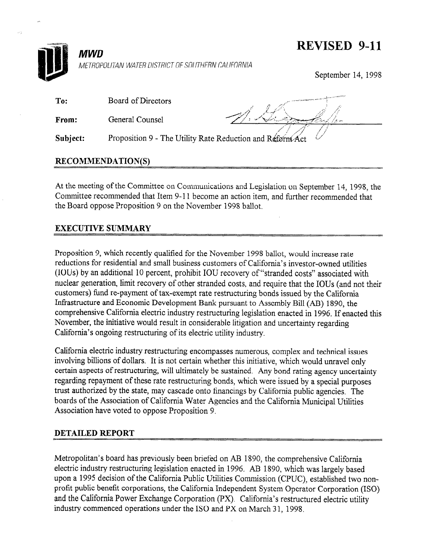## REVISED 9-11



METROPOLITAN WATER DISTRICT OF SOUTHERN CALIFORNIA

September 14, 1998

| To:   | Board of Directors |      |
|-------|--------------------|------|
| From: | General Counsel    | Mary |

Proposition 9 - The Utility Rate Reduction and Reform Act Subject:

## RECOMMENDATION(S)

**MWD** 

At the meeting of the Committee on Communications and Legislation on September 14, 1998, the Committee recommended that Item 9-l 1 become an action item, and further recommended that the Board oppose Proposition 9 on the November 1998 ballot.

## EXECUTIVE SUMMARY

Proposition 9, which recently qualified for the November 1998 ballot, would increase rate reductions for residential and small business customers of California's investor-owned utilities (IOUs) by an additional 10 percent, prohibit IOU recovery of "stranded costs" associated with nuclear generation, limit recovery of other stranded costs, and require that the IOUs (and not their customers) fund re-payment of tax-exempt rate restructuring bonds issued by the California Infrastructure and Economic Development Bank pursuant to Assembly Bill (AB) 1890, the comprehensive California electric industry restructuring legislation enacted in 1996. If enacted this November, the initiative would result in considerable litigation and uncertainty regarding California's ongoing restructuring of its electric utility industry.

California electric industry restructuring encompasses numerous, complex and technical issues involving billions of dollars. It is not certain whether this initiative, which would unravel only certain aspects of restructuring, will ultimately be sustained. Any bond rating agency uncertainty regarding repayment of these rate restructuring bonds, which were issued by a special purposes trust authorized by the state, may cascade onto financings by California public agencies. The boards of the Association of California Water Agencies and the California Municipal Utilities Association have voted to oppose Proposition 9.

## DETAILED REPORT

Metropolitan's board has previously been briefed on AB 1890, the comprehensive California electric industry restructuring legislation enacted in 1996. AB 1890, which was largely based upon a 1995 decision of the California Public Utilities Commission (CPUC), established two nonprofit public benefit corporations, the California Independent System Operator Corporation (ISO) and the California Power Exchange Corporation (PX). California's restructured electric utility industry commenced operations under the ISO and PX on March 31, 1998.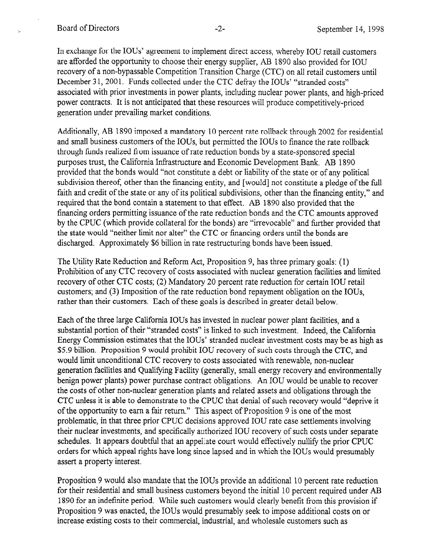In exchange for the IOUs' agreement to implement direct access, whereby IOU retail customers are afforded the opportunity to choose their energy supplier, AB 1890 also provided for IOU recovery of a non-bypassable Competition Transition Charge (CTC) on all retail customers until December 31, 2001. Funds collected under the CTC defray the IOUs' "stranded costs" associated with prior investments in power plants, including nuclear power plants, and high-priced power contracts. It is not anticipated that these resources will produce competitively-priced generation under prevailing market conditions.

Additionally, AB 1890 imposed a mandatory 10 percent rate rollback through 2002 for residential and small business customers of the IOUs, but permitted the IOUs to finance the rate rollback through funds realized from issuance of rate reduction bonds by a state-sponsored special purposes trust, the California Infrastructure and Economic Development Bank. AB 1890 provided that the bonds would "not constitute a debt or liability of the state or of any political subdivision thereof, other than the financing entity, and [would] not constitute a pledge of the full faith and credit of the state or any of its political subdivisions, other than the financing entity," and required that the bond contain a statement to that effect. AB 1890 also provided that the financing orders permitting issuance of the rate reduction bonds and the CTC amounts approved by the CPUC (which provide collateral for the bonds) are "irrevocable" and further provided that the state would "neither limit nor alter" the CTC or financing orders until the bonds are discharged. Approximately \$6 billion in rate restructuring bonds have been issued.

The Utility Rate Reduction and Reform Act, Proposition 9, has three primary goals: (1) Prohibition of any CTC recovery of costs associated with nuclear generation facilities and limited recovery of other CTC costs; (2) Mandatory 20 percent rate reduction for certain IOU retail customers; and (3) Imposition of the rate reduction bond repayment obligation on the IOUs, rather than their customers. Each of these goals is described in greater detail below.

Each of the three large California IOUs has invested in nuclear power plant facilities, and a substantial portion of their "stranded costs" is linked to such investment. Indeed, the California Energy Commission estimates that the IOUs' stranded nuclear investment costs may be as high as \$5.9 billion. Proposition 9 would prohibit IOU recovery of such costs through the CTC, and would limit unconditional CTC recovery to costs associated with renewable, non-nuclear generation facilities and Qualifying Facility (generally, small energy recovery and environmentally benign power plants) power purchase contract obligations. An IOU would be unable to recover the costs of other non-nuclear generation plants and related assets and obligations through the CTC unless it is able to demonstrate to the CPUC that denial of such recovery would "deprive it of the opportunity to earn a fair return." This aspect of Proposition 9 is one of the most problematic, in that three prior CPUC decisions approved IOU rate case settlements involving their nuclear investments, and specifically authorized IOU recovery of such costs under separate schedules. It appears doubtful that an appellate court would effectively nullify the prior CPUC orders for which appeal rights have long since lapsed and in which the IOUs would presumably assert a property interest.

Proposition 9 would also mandate that the IOUs provide an additional 10 percent rate reduction for their residential and small business customers beyond the initial 10 percent required under AB 1890 for an indefinite period. While such customers would clearly benefit from this provision if Proposition 9 was enacted, the IOUs would presumably seek to impose additional costs on or increase existing costs to their commercial, industrial, and wholesale customers such as